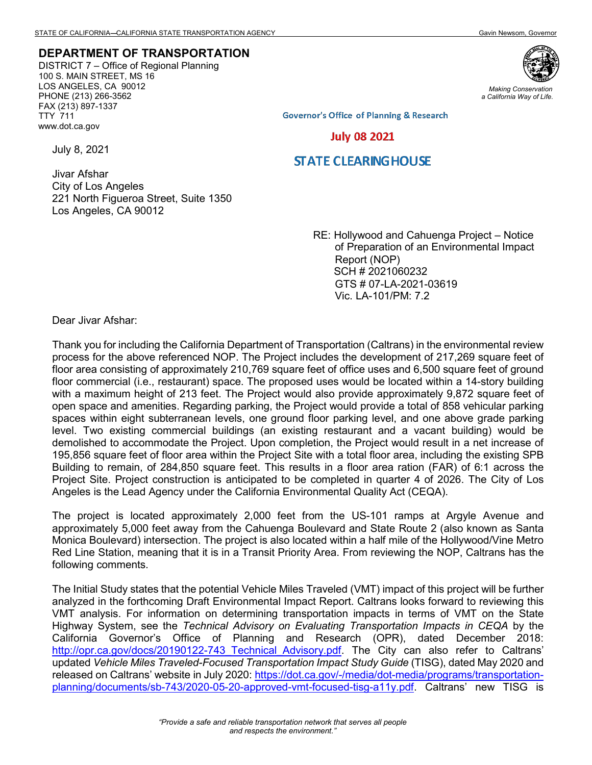## **DEPARTMENT OF TRANSPORTATION**

DISTRICT 7 – Office of Regional Planning 100 S. MAIN STREET, MS 16 LOS ANGELES, CA 90012 PHONE (213) 266-3562 FAX (213) 897-1337 TTY 711 www.dot.ca.gov



*Making Conservation a California Way of Life.*

**Governor's Office of Planning & Research** 

**July 08 2021** 

## **STATE CLEARING HOUSE**

Jivar Afshar City of Los Angeles 221 North Figueroa Street, Suite 1350 Los Angeles, CA 90012

> RE: Hollywood and Cahuenga Project – Notice of Preparation of an Environmental Impact Report (NOP) SCH # 2021060232 GTS # 07-LA-2021-03619 Vic. LA-101/PM: 7.2

Dear Jivar Afshar:

July 8, 2021

Thank you for including the California Department of Transportation (Caltrans) in the environmental review process for the above referenced NOP. The Project includes the development of 217,269 square feet of floor area consisting of approximately 210,769 square feet of office uses and 6,500 square feet of ground floor commercial (i.e., restaurant) space. The proposed uses would be located within a 14-story building with a maximum height of 213 feet. The Project would also provide approximately 9,872 square feet of open space and amenities. Regarding parking, the Project would provide a total of 858 vehicular parking spaces within eight subterranean levels, one ground floor parking level, and one above grade parking level. Two existing commercial buildings (an existing restaurant and a vacant building) would be demolished to accommodate the Project. Upon completion, the Project would result in a net increase of 195,856 square feet of floor area within the Project Site with a total floor area, including the existing SPB Building to remain, of 284,850 square feet. This results in a floor area ration (FAR) of 6:1 across the Project Site. Project construction is anticipated to be completed in quarter 4 of 2026. The City of Los Angeles is the Lead Agency under the California Environmental Quality Act (CEQA).

The project is located approximately 2,000 feet from the US-101 ramps at Argyle Avenue and approximately 5,000 feet away from the Cahuenga Boulevard and State Route 2 (also known as Santa Monica Boulevard) intersection. The project is also located within a half mile of the Hollywood/Vine Metro Red Line Station, meaning that it is in a Transit Priority Area. From reviewing the NOP, Caltrans has the following comments.

The Initial Study states that the potential Vehicle Miles Traveled (VMT) impact of this project will be further analyzed in the forthcoming Draft Environmental Impact Report. Caltrans looks forward to reviewing this VMT analysis. For information on determining transportation impacts in terms of VMT on the State Highway System, see the *Technical Advisory on Evaluating Transportation Impacts in CEQA* by the California Governor's Office of Planning and Research (OPR), dated December 2018: http://opr.ca.gov/docs/20190122-743 Technical Advisory.pdf. The City can also refer to Caltrans' updated *Vehicle Miles Traveled-Focused Transportation Impact Study Guide* (TISG), dated May 2020 and released on Caltrans' website in July 2020: [https://dot.ca.gov/-/media/dot-media/programs/transportation](https://dot.ca.gov/-/media/dot-media/programs/transportation-planning/documents/sb-743/2020-05-20-approved-vmt-focused-tisg-a11y.pdf)[planning/documents/sb-743/2020-05-20-approved-vmt-focused-tisg-a11y.pdf.](https://dot.ca.gov/-/media/dot-media/programs/transportation-planning/documents/sb-743/2020-05-20-approved-vmt-focused-tisg-a11y.pdf) Caltrans' new TISG is